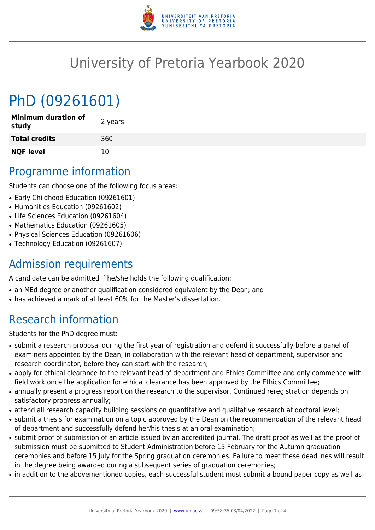

## University of Pretoria Yearbook 2020

# PhD (09261601)

| <b>Minimum duration of</b><br>study | 2 years |
|-------------------------------------|---------|
| <b>Total credits</b>                | 360     |
| <b>NQF level</b>                    | 10      |

### Programme information

Students can choose one of the following focus areas:

- Early Childhood Education (09261601)
- Humanities Education (09261602)
- Life Sciences Education (09261604)
- Mathematics Education (09261605)
- Physical Sciences Education (09261606)
- Technology Education (09261607)

#### Admission requirements

A candidate can be admitted if he/she holds the following qualification:

- an MEd degree or another qualification considered equivalent by the Dean; and
- has achieved a mark of at least 60% for the Master's dissertation.

### Research information

Students for the PhD degree must:

- submit a research proposal during the first year of registration and defend it successfully before a panel of examiners appointed by the Dean, in collaboration with the relevant head of department, supervisor and research coordinator, before they can start with the research;
- apply for ethical clearance to the relevant head of department and Ethics Committee and only commence with field work once the application for ethical clearance has been approved by the Ethics Committee;
- annually present a progress report on the research to the supervisor. Continued reregistration depends on satisfactory progress annually;
- attend all research capacity building sessions on quantitative and qualitative research at doctoral level;
- submit a thesis for examination on a topic approved by the Dean on the recommendation of the relevant head of department and successfully defend her/his thesis at an oral examination;
- submit proof of submission of an article issued by an accredited journal. The draft proof as well as the proof of submission must be submitted to Student Administration before 15 February for the Autumn graduation ceremonies and before 15 July for the Spring graduation ceremonies. Failure to meet these deadlines will result in the degree being awarded during a subsequent series of graduation ceremonies;
- in addition to the abovementioned copies, each successful student must submit a bound paper copy as well as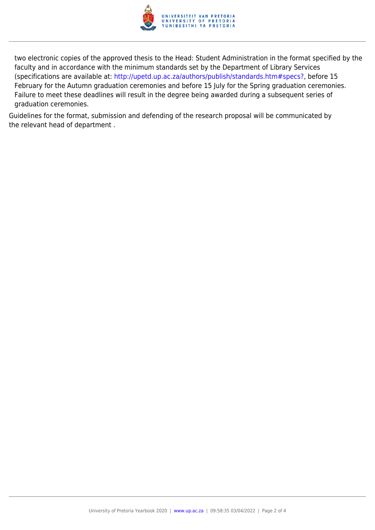

two electronic copies of the approved thesis to the Head: Student Administration in the format specified by the faculty and in accordance with the minimum standards set by the Department of Library Services (specifications are available at: [http://upetd.up.ac.za/authors/publish/standards.htm#specs?,](http://upetd.up.ac.za/authors/publish/standards.htm#specs) before 15 February for the Autumn graduation ceremonies and before 15 July for the Spring graduation ceremonies. Failure to meet these deadlines will result in the degree being awarded during a subsequent series of graduation ceremonies.

Guidelines for the format, submission and defending of the research proposal will be communicated by the relevant head of department .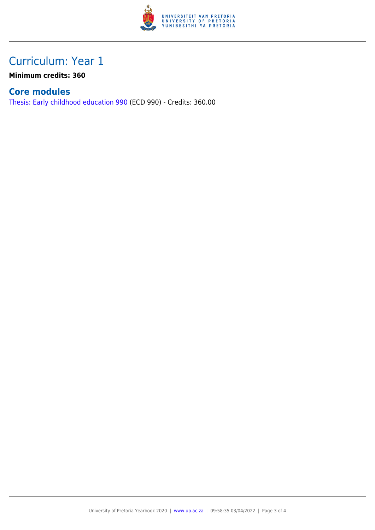

#### Curriculum: Year 1

**Minimum credits: 360**

#### **Core modules**

[Thesis: Early childhood education 990](https://www.up.ac.za/yearbooks/2020/modules/view/ECD 990) (ECD 990) - Credits: 360.00